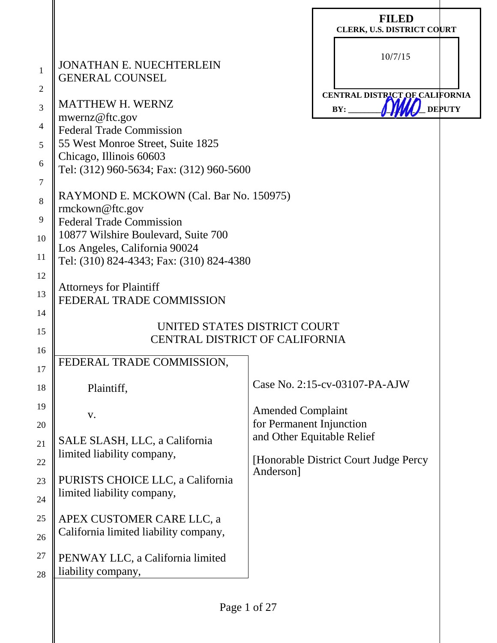|                                     |                                                                                                                                                                        | <b>FILED</b><br><b>CLERK, U.S. DISTRICT COURT</b>                    |  |
|-------------------------------------|------------------------------------------------------------------------------------------------------------------------------------------------------------------------|----------------------------------------------------------------------|--|
| $\mathbf{1}$<br>$\overline{2}$<br>3 | <b>JONATHAN E. NUECHTERLEIN</b><br><b>GENERAL COUNSEL</b><br><b>MATTHEW H. WERNZ</b>                                                                                   | 10/7/15<br>CENTRAL DISTRICT OF CALIFORNIA<br><b>DEPUTY</b><br>BY:    |  |
| 4<br>5<br>6                         | mwernz@ftc.gov<br><b>Federal Trade Commission</b><br>55 West Monroe Street, Suite 1825<br>Chicago, Illinois 60603                                                      |                                                                      |  |
| $\overline{7}$<br>8                 | Tel: (312) 960-5634; Fax: (312) 960-5600<br>RAYMOND E. MCKOWN (Cal. Bar No. 150975)                                                                                    |                                                                      |  |
| 9<br>10                             | rmckown@ftc.gov<br><b>Federal Trade Commission</b><br>10877 Wilshire Boulevard, Suite 700<br>Los Angeles, California 90024<br>Tel: (310) 824-4343; Fax: (310) 824-4380 |                                                                      |  |
| 11<br>12                            |                                                                                                                                                                        |                                                                      |  |
| 13<br>14                            | <b>Attorneys for Plaintiff</b><br>FEDERAL TRADE COMMISSION                                                                                                             |                                                                      |  |
| 15<br>16                            | UNITED STATES DISTRICT COURT<br><b>CENTRAL DISTRICT OF CALIFORNIA</b>                                                                                                  |                                                                      |  |
| 17                                  | FEDERAL TRADE COMMISSION.                                                                                                                                              |                                                                      |  |
| 18                                  | Plaintiff,                                                                                                                                                             | Case No. 2:15-cv-03107-PA-AJW                                        |  |
| 19<br>20                            | V.                                                                                                                                                                     | <b>Amended Complaint</b><br>for Permanent Injunction                 |  |
| 21                                  | SALE SLASH, LLC, a California<br>limited liability company,                                                                                                            | and Other Equitable Relief<br>[Honorable District Court Judge Percy] |  |
| 22<br>23                            | PURISTS CHOICE LLC, a California<br>limited liability company,                                                                                                         | Anderson]                                                            |  |
| 24<br>25                            | APEX CUSTOMER CARE LLC, a<br>California limited liability company,                                                                                                     |                                                                      |  |
| 26<br>27<br>28                      | PENWAY LLC, a California limited<br>liability company,                                                                                                                 |                                                                      |  |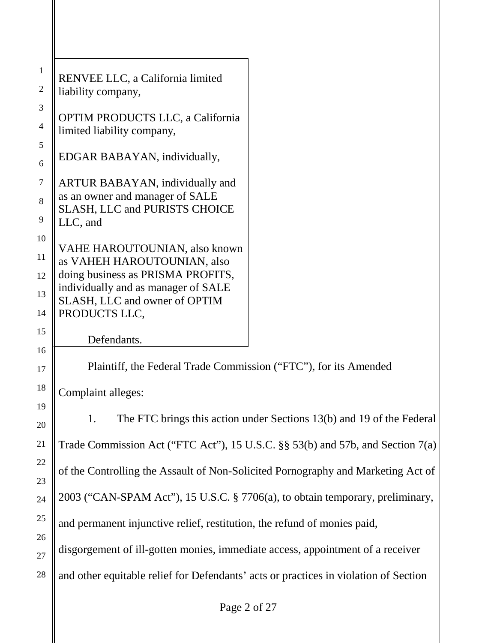| RENVEE LLC, a California limited<br>liability company,                                                                                                                                     |                                                                       |
|--------------------------------------------------------------------------------------------------------------------------------------------------------------------------------------------|-----------------------------------------------------------------------|
| <b>OPTIM PRODUCTS LLC, a California</b><br>limited liability company,                                                                                                                      |                                                                       |
| EDGAR BABAYAN, individually,                                                                                                                                                               |                                                                       |
| ARTUR BABAYAN, individually and<br>as an owner and manager of SALE<br><b>SLASH, LLC and PURISTS CHOICE</b><br>LLC, and                                                                     |                                                                       |
| VAHE HAROUTOUNIAN, also known<br>as VAHEH HAROUTOUNIAN, also<br>doing business as PRISMA PROFITS,<br>individually and as manager of SALE<br>SLASH, LLC and owner of OPTIM<br>PRODUCTS LLC, |                                                                       |
|                                                                                                                                                                                            |                                                                       |
| Defendants.                                                                                                                                                                                |                                                                       |
| Plaintiff, the Federal Trade Commission ("FTC"), for its Amended                                                                                                                           |                                                                       |
| Complaint alleges:                                                                                                                                                                         |                                                                       |
| 1.                                                                                                                                                                                         | The FTC brings this action under Sections 13(b) and 19 of the Federal |
| Trade Commission Act ("FTC Act"), 15 U.S.C. §§ 53(b) and 57b, and Section 7(a)                                                                                                             |                                                                       |
| of the Controlling the Assault of Non-Solicited Pornography and Marketing Act of                                                                                                           |                                                                       |
| 2003 ("CAN-SPAM Act"), 15 U.S.C. § 7706(a), to obtain temporary, preliminary,                                                                                                              |                                                                       |
| and permanent injunctive relief, restitution, the refund of monies paid,                                                                                                                   |                                                                       |
| disgorgement of ill-gotten monies, immediate access, appointment of a receiver                                                                                                             |                                                                       |
|                                                                                                                                                                                            |                                                                       |
| and other equitable relief for Defendants' acts or practices in violation of Section                                                                                                       |                                                                       |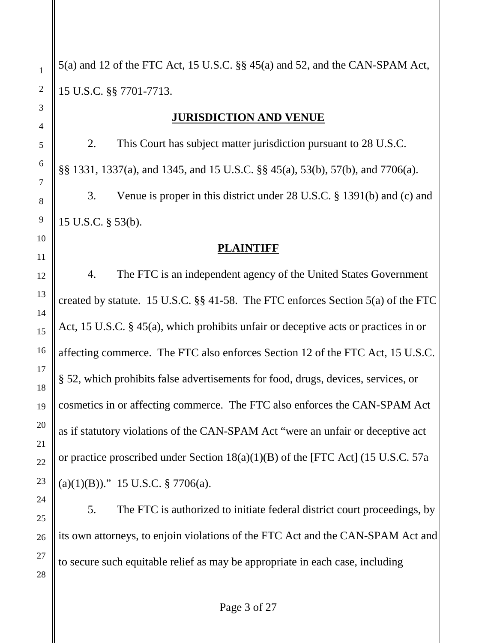23

24

25

26

27

28

1

2

3

5(a) and 12 of the FTC Act, 15 U.S.C. §§ 45(a) and 52, and the CAN-SPAM Act, 15 U.S.C. §§ 7701-7713.

### **JURISDICTION AND VENUE**

2. This Court has subject matter jurisdiction pursuant to 28 U.S.C. §§ 1331, 1337(a), and 1345, and 15 U.S.C. §§ 45(a), 53(b), 57(b), and 7706(a). 3. Venue is proper in this district under 28 U.S.C. § 1391(b) and (c) and 15 U.S.C. § 53(b).

### **PLAINTIFF**

4. The FTC is an independent agency of the United States Government created by statute. 15 U.S.C. §§ 41-58. The FTC enforces Section 5(a) of the FTC Act, 15 U.S.C. § 45(a), which prohibits unfair or deceptive acts or practices in or affecting commerce. The FTC also enforces Section 12 of the FTC Act, 15 U.S.C. § 52, which prohibits false advertisements for food, drugs, devices, services, or cosmetics in or affecting commerce. The FTC also enforces the CAN-SPAM Act as if statutory violations of the CAN-SPAM Act "were an unfair or deceptive act or practice proscribed under Section 18(a)(1)(B) of the [FTC Act] (15 U.S.C. 57a  $(a)(1)(B))$ ." 15 U.S.C. § 7706(a).

5. The FTC is authorized to initiate federal district court proceedings, by its own attorneys, to enjoin violations of the FTC Act and the CAN-SPAM Act and to secure such equitable relief as may be appropriate in each case, including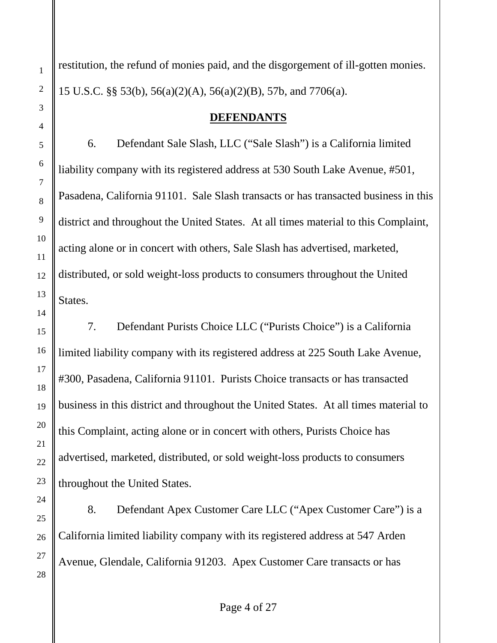restitution, the refund of monies paid, and the disgorgement of ill-gotten monies. 15 U.S.C. §§ 53(b), 56(a)(2)(A), 56(a)(2)(B), 57b, and 7706(a).

#### **DEFENDANTS**

6. Defendant Sale Slash, LLC ("Sale Slash") is a California limited liability company with its registered address at 530 South Lake Avenue, #501, Pasadena, California 91101. Sale Slash transacts or has transacted business in this district and throughout the United States. At all times material to this Complaint, acting alone or in concert with others, Sale Slash has advertised, marketed, distributed, or sold weight-loss products to consumers throughout the United States.

7. Defendant Purists Choice LLC ("Purists Choice") is a California limited liability company with its registered address at 225 South Lake Avenue, #300, Pasadena, California 91101. Purists Choice transacts or has transacted business in this district and throughout the United States. At all times material to this Complaint, acting alone or in concert with others, Purists Choice has advertised, marketed, distributed, or sold weight-loss products to consumers throughout the United States.

8. Defendant Apex Customer Care LLC ("Apex Customer Care") is a California limited liability company with its registered address at 547 Arden Avenue, Glendale, California 91203. Apex Customer Care transacts or has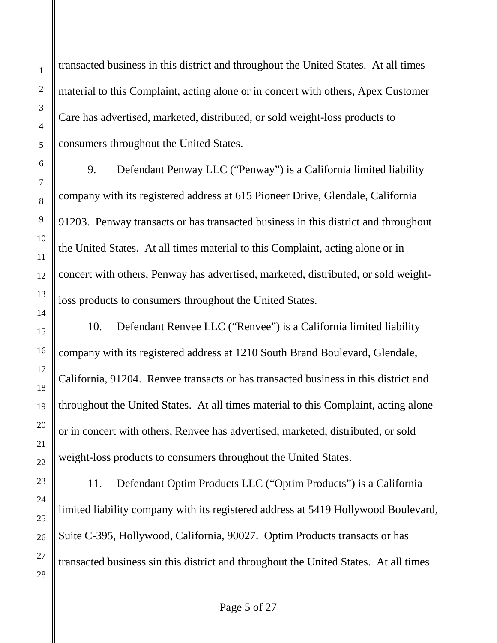transacted business in this district and throughout the United States. At all times material to this Complaint, acting alone or in concert with others, Apex Customer Care has advertised, marketed, distributed, or sold weight-loss products to consumers throughout the United States.

9. Defendant Penway LLC ("Penway") is a California limited liability company with its registered address at 615 Pioneer Drive, Glendale, California 91203. Penway transacts or has transacted business in this district and throughout the United States. At all times material to this Complaint, acting alone or in concert with others, Penway has advertised, marketed, distributed, or sold weightloss products to consumers throughout the United States.

10. Defendant Renvee LLC ("Renvee") is a California limited liability company with its registered address at 1210 South Brand Boulevard, Glendale, California, 91204. Renvee transacts or has transacted business in this district and throughout the United States. At all times material to this Complaint, acting alone or in concert with others, Renvee has advertised, marketed, distributed, or sold weight-loss products to consumers throughout the United States.

11. Defendant Optim Products LLC ("Optim Products") is a California limited liability company with its registered address at 5419 Hollywood Boulevard, Suite C-395, Hollywood, California, 90027. Optim Products transacts or has transacted business sin this district and throughout the United States. At all times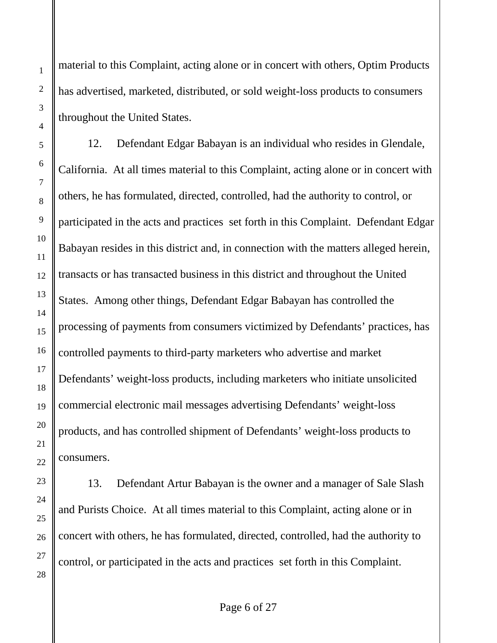material to this Complaint, acting alone or in concert with others, Optim Products has advertised, marketed, distributed, or sold weight-loss products to consumers throughout the United States.

12. Defendant Edgar Babayan is an individual who resides in Glendale, California. At all times material to this Complaint, acting alone or in concert with others, he has formulated, directed, controlled, had the authority to control, or participated in the acts and practices set forth in this Complaint. Defendant Edgar Babayan resides in this district and, in connection with the matters alleged herein, transacts or has transacted business in this district and throughout the United States. Among other things, Defendant Edgar Babayan has controlled the processing of payments from consumers victimized by Defendants' practices, has controlled payments to third-party marketers who advertise and market Defendants' weight-loss products, including marketers who initiate unsolicited commercial electronic mail messages advertising Defendants' weight-loss products, and has controlled shipment of Defendants' weight-loss products to consumers.

13. Defendant Artur Babayan is the owner and a manager of Sale Slash and Purists Choice. At all times material to this Complaint, acting alone or in concert with others, he has formulated, directed, controlled, had the authority to control, or participated in the acts and practices set forth in this Complaint.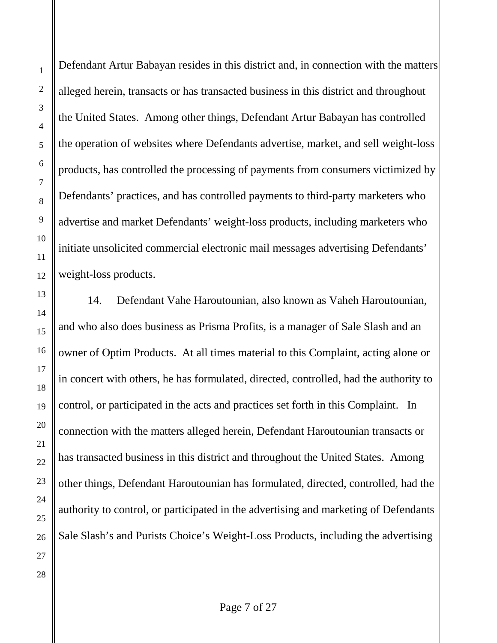Defendant Artur Babayan resides in this district and, in connection with the matters alleged herein, transacts or has transacted business in this district and throughout the United States. Among other things, Defendant Artur Babayan has controlled the operation of websites where Defendants advertise, market, and sell weight-loss products, has controlled the processing of payments from consumers victimized by Defendants' practices, and has controlled payments to third-party marketers who advertise and market Defendants' weight-loss products, including marketers who initiate unsolicited commercial electronic mail messages advertising Defendants' weight-loss products.

14. Defendant Vahe Haroutounian, also known as Vaheh Haroutounian, and who also does business as Prisma Profits, is a manager of Sale Slash and an owner of Optim Products. At all times material to this Complaint, acting alone or in concert with others, he has formulated, directed, controlled, had the authority to control, or participated in the acts and practices set forth in this Complaint. In connection with the matters alleged herein, Defendant Haroutounian transacts or has transacted business in this district and throughout the United States. Among other things, Defendant Haroutounian has formulated, directed, controlled, had the authority to control, or participated in the advertising and marketing of Defendants Sale Slash's and Purists Choice's Weight-Loss Products, including the advertising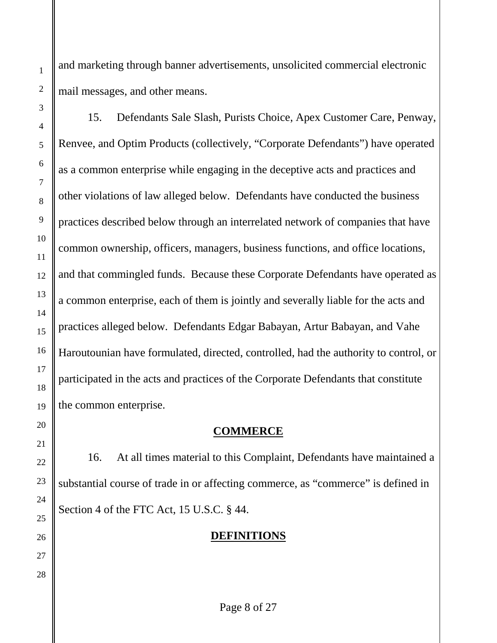and marketing through banner advertisements, unsolicited commercial electronic mail messages, and other means.

15. Defendants Sale Slash, Purists Choice, Apex Customer Care, Penway, Renvee, and Optim Products (collectively, "Corporate Defendants") have operated as a common enterprise while engaging in the deceptive acts and practices and other violations of law alleged below. Defendants have conducted the business practices described below through an interrelated network of companies that have common ownership, officers, managers, business functions, and office locations, and that commingled funds. Because these Corporate Defendants have operated as a common enterprise, each of them is jointly and severally liable for the acts and practices alleged below. Defendants Edgar Babayan, Artur Babayan, and Vahe Haroutounian have formulated, directed, controlled, had the authority to control, or participated in the acts and practices of the Corporate Defendants that constitute the common enterprise.

## **COMMERCE**

16. At all times material to this Complaint, Defendants have maintained a substantial course of trade in or affecting commerce, as "commerce" is defined in Section 4 of the FTC Act, 15 U.S.C. § 44.

# **DEFINITIONS**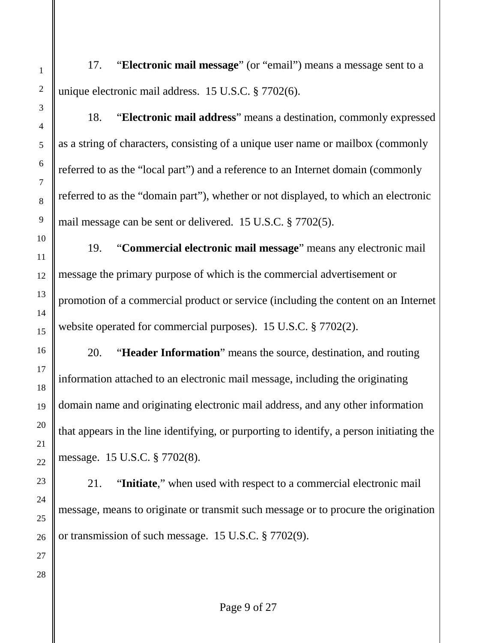17. "**Electronic mail message**" (or "email") means a message sent to a unique electronic mail address. 15 U.S.C. § 7702(6).

18. "**Electronic mail address**" means a destination, commonly expressed as a string of characters, consisting of a unique user name or mailbox (commonly referred to as the "local part") and a reference to an Internet domain (commonly referred to as the "domain part"), whether or not displayed, to which an electronic mail message can be sent or delivered. 15 U.S.C. § 7702(5).

19. "**Commercial electronic mail message**" means any electronic mail message the primary purpose of which is the commercial advertisement or promotion of a commercial product or service (including the content on an Internet website operated for commercial purposes). 15 U.S.C. § 7702(2).

20. "**Header Information**" means the source, destination, and routing information attached to an electronic mail message, including the originating domain name and originating electronic mail address, and any other information that appears in the line identifying, or purporting to identify, a person initiating the message. 15 U.S.C. § 7702(8).

21. "**Initiate**," when used with respect to a commercial electronic mail message, means to originate or transmit such message or to procure the origination or transmission of such message. 15 U.S.C. § 7702(9).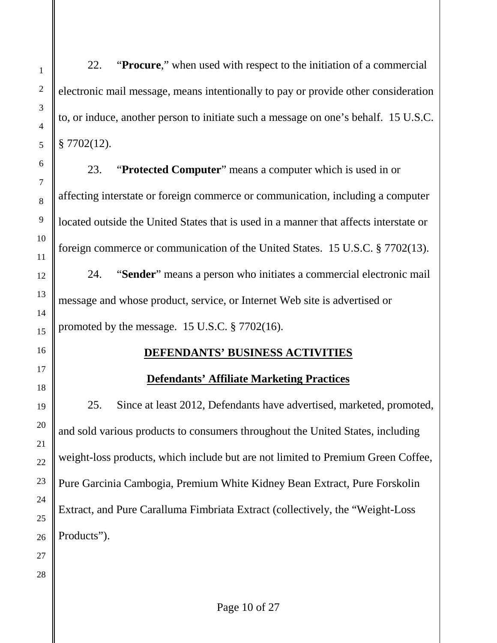22. "**Procure**," when used with respect to the initiation of a commercial electronic mail message, means intentionally to pay or provide other consideration to, or induce, another person to initiate such a message on one's behalf. 15 U.S.C. § 7702(12).

23. "**Protected Computer**" means a computer which is used in or affecting interstate or foreign commerce or communication, including a computer located outside the United States that is used in a manner that affects interstate or foreign commerce or communication of the United States. 15 U.S.C. § 7702(13).

24. "**Sender**" means a person who initiates a commercial electronic mail message and whose product, service, or Internet Web site is advertised or promoted by the message. 15 U.S.C. § 7702(16).

## **DEFENDANTS' BUSINESS ACTIVITIES**

# **Defendants' Affiliate Marketing Practices**

25. Since at least 2012, Defendants have advertised, marketed, promoted, and sold various products to consumers throughout the United States, including weight-loss products, which include but are not limited to Premium Green Coffee, Pure Garcinia Cambogia, Premium White Kidney Bean Extract, Pure Forskolin Extract, and Pure Caralluma Fimbriata Extract (collectively, the "Weight-Loss Products").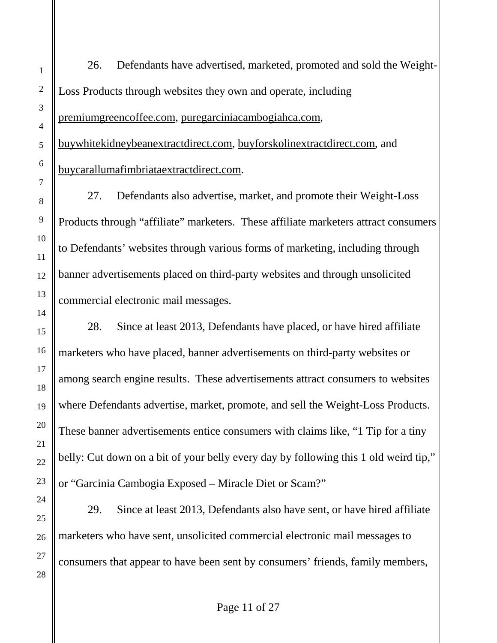26. Defendants have advertised, marketed, promoted and sold the Weight-Loss Products through websites they own and operate, including premiumgreencoffee.com, puregarciniacambogiahca.com, buywhitekidneybeanextractdirect.com, buyforskolinextractdirect.com, and buycarallumafimbriataextractdirect.com. 27. Defendants also advertise, market, and promote their Weight-Loss Products through "affiliate" marketers. These affiliate marketers attract consumers to Defendants' websites through various forms of marketing, including through banner advertisements placed on third-party websites and through unsolicited commercial electronic mail messages. 28. Since at least 2013, Defendants have placed, or have hired affiliate marketers who have placed, banner advertisements on third-party websites or

among search engine results. These advertisements attract consumers to websites where Defendants advertise, market, promote, and sell the Weight-Loss Products. These banner advertisements entice consumers with claims like, "1 Tip for a tiny belly: Cut down on a bit of your belly every day by following this 1 old weird tip," or "Garcinia Cambogia Exposed – Miracle Diet or Scam?"

29. Since at least 2013, Defendants also have sent, or have hired affiliate marketers who have sent, unsolicited commercial electronic mail messages to consumers that appear to have been sent by consumers' friends, family members,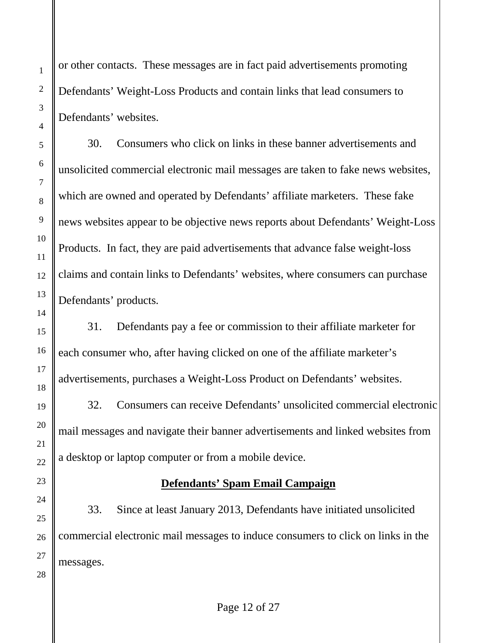1

2

3

or other contacts. These messages are in fact paid advertisements promoting Defendants' Weight-Loss Products and contain links that lead consumers to Defendants' websites.

30. Consumers who click on links in these banner advertisements and unsolicited commercial electronic mail messages are taken to fake news websites, which are owned and operated by Defendants' affiliate marketers. These fake news websites appear to be objective news reports about Defendants' Weight-Loss Products. In fact, they are paid advertisements that advance false weight-loss claims and contain links to Defendants' websites, where consumers can purchase Defendants' products.

31. Defendants pay a fee or commission to their affiliate marketer for each consumer who, after having clicked on one of the affiliate marketer's advertisements, purchases a Weight-Loss Product on Defendants' websites.

32. Consumers can receive Defendants' unsolicited commercial electronic mail messages and navigate their banner advertisements and linked websites from a desktop or laptop computer or from a mobile device.

# **Defendants' Spam Email Campaign**

33. Since at least January 2013, Defendants have initiated unsolicited commercial electronic mail messages to induce consumers to click on links in the messages.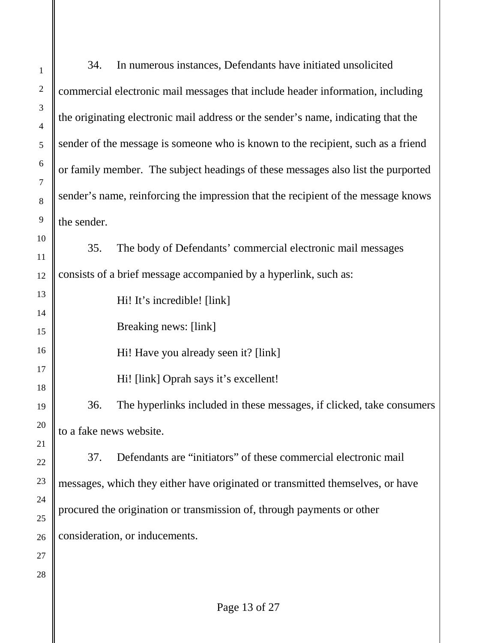34. In numerous instances, Defendants have initiated unsolicited commercial electronic mail messages that include header information, including the originating electronic mail address or the sender's name, indicating that the sender of the message is someone who is known to the recipient, such as a friend or family member. The subject headings of these messages also list the purported sender's name, reinforcing the impression that the recipient of the message knows the sender.

35. The body of Defendants' commercial electronic mail messages consists of a brief message accompanied by a hyperlink, such as:

Hi! It's incredible! [link]

Breaking news: [link]

Hi! Have you already seen it? [link]

Hi! [link] Oprah says it's excellent!

36. The hyperlinks included in these messages, if clicked, take consumers to a fake news website.

37. Defendants are "initiators" of these commercial electronic mail messages, which they either have originated or transmitted themselves, or have procured the origination or transmission of, through payments or other consideration, or inducements.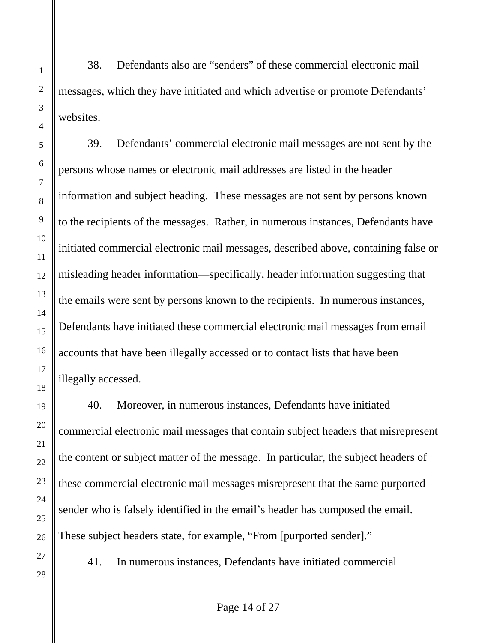38. Defendants also are "senders" of these commercial electronic mail messages, which they have initiated and which advertise or promote Defendants' websites.

39. Defendants' commercial electronic mail messages are not sent by the persons whose names or electronic mail addresses are listed in the header information and subject heading. These messages are not sent by persons known to the recipients of the messages. Rather, in numerous instances, Defendants have initiated commercial electronic mail messages, described above, containing false or misleading header information—specifically, header information suggesting that the emails were sent by persons known to the recipients. In numerous instances, Defendants have initiated these commercial electronic mail messages from email accounts that have been illegally accessed or to contact lists that have been illegally accessed.

40. Moreover, in numerous instances, Defendants have initiated commercial electronic mail messages that contain subject headers that misrepresent the content or subject matter of the message. In particular, the subject headers of these commercial electronic mail messages misrepresent that the same purported sender who is falsely identified in the email's header has composed the email. These subject headers state, for example, "From [purported sender]."

41. In numerous instances, Defendants have initiated commercial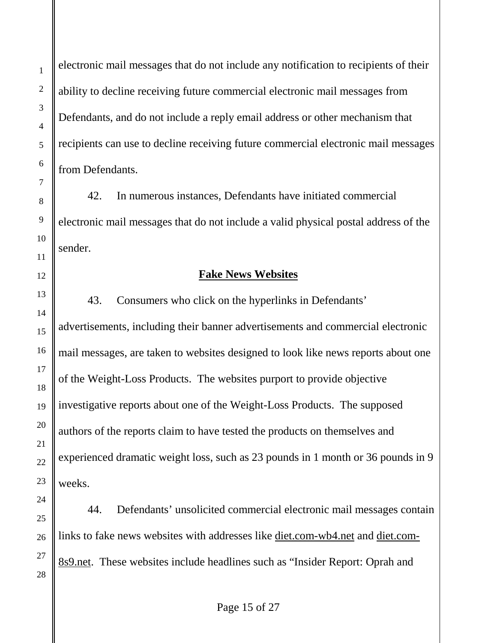electronic mail messages that do not include any notification to recipients of their ability to decline receiving future commercial electronic mail messages from Defendants, and do not include a reply email address or other mechanism that recipients can use to decline receiving future commercial electronic mail messages from Defendants.

42. In numerous instances, Defendants have initiated commercial electronic mail messages that do not include a valid physical postal address of the sender.

### **Fake News Websites**

43. Consumers who click on the hyperlinks in Defendants' advertisements, including their banner advertisements and commercial electronic mail messages, are taken to websites designed to look like news reports about one of the Weight-Loss Products. The websites purport to provide objective investigative reports about one of the Weight-Loss Products. The supposed authors of the reports claim to have tested the products on themselves and experienced dramatic weight loss, such as 23 pounds in 1 month or 36 pounds in 9 weeks.

44. Defendants' unsolicited commercial electronic mail messages contain links to fake news websites with addresses like diet.com-wb4.net and diet.com-8s9.net. These websites include headlines such as "Insider Report: Oprah and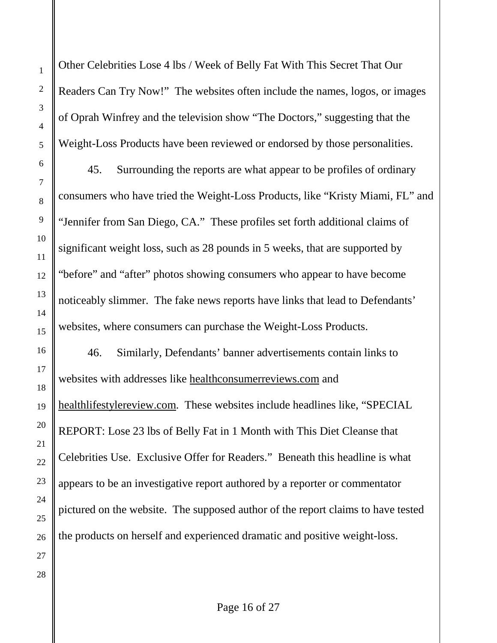Other Celebrities Lose 4 lbs / Week of Belly Fat With This Secret That Our Readers Can Try Now!" The websites often include the names, logos, or images of Oprah Winfrey and the television show "The Doctors," suggesting that the Weight-Loss Products have been reviewed or endorsed by those personalities.

45. Surrounding the reports are what appear to be profiles of ordinary consumers who have tried the Weight-Loss Products, like "Kristy Miami, FL" and "Jennifer from San Diego, CA." These profiles set forth additional claims of significant weight loss, such as 28 pounds in 5 weeks, that are supported by "before" and "after" photos showing consumers who appear to have become noticeably slimmer. The fake news reports have links that lead to Defendants' websites, where consumers can purchase the Weight-Loss Products.

46. Similarly, Defendants' banner advertisements contain links to websites with addresses like healthconsumerreviews.com and healthlifestylereview.com. These websites include headlines like, "SPECIAL REPORT: Lose 23 lbs of Belly Fat in 1 Month with This Diet Cleanse that Celebrities Use. Exclusive Offer for Readers." Beneath this headline is what appears to be an investigative report authored by a reporter or commentator pictured on the website. The supposed author of the report claims to have tested the products on herself and experienced dramatic and positive weight-loss.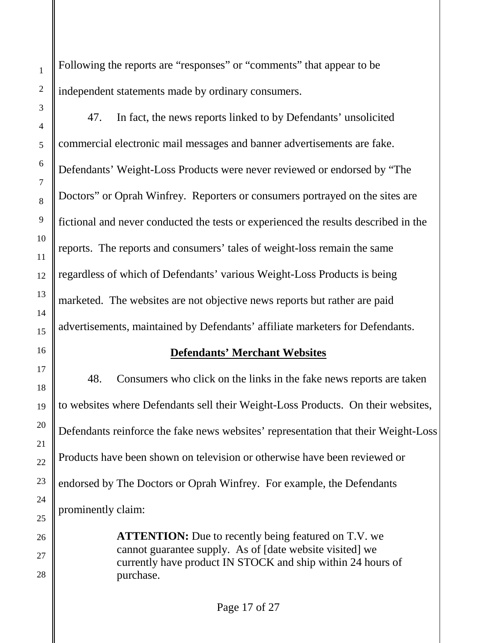Following the reports are "responses" or "comments" that appear to be independent statements made by ordinary consumers.

47. In fact, the news reports linked to by Defendants' unsolicited commercial electronic mail messages and banner advertisements are fake. Defendants' Weight-Loss Products were never reviewed or endorsed by "The Doctors" or Oprah Winfrey. Reporters or consumers portrayed on the sites are fictional and never conducted the tests or experienced the results described in the reports. The reports and consumers' tales of weight-loss remain the same regardless of which of Defendants' various Weight-Loss Products is being marketed. The websites are not objective news reports but rather are paid advertisements, maintained by Defendants' affiliate marketers for Defendants.

## **Defendants' Merchant Websites**

48. Consumers who click on the links in the fake news reports are taken to websites where Defendants sell their Weight-Loss Products. On their websites, Defendants reinforce the fake news websites' representation that their Weight-Loss Products have been shown on television or otherwise have been reviewed or endorsed by The Doctors or Oprah Winfrey. For example, the Defendants prominently claim:

> **ATTENTION:** Due to recently being featured on T.V. we cannot guarantee supply. As of [date website visited] we currently have product IN STOCK and ship within 24 hours of purchase.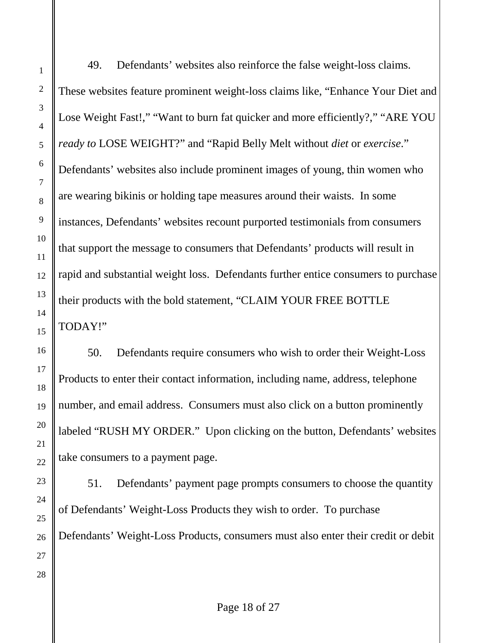49. Defendants' websites also reinforce the false weight-loss claims. These websites feature prominent weight-loss claims like, "Enhance Your Diet and Lose Weight Fast!," "Want to burn fat quicker and more efficiently?," "ARE YOU *ready to* LOSE WEIGHT?" and "Rapid Belly Melt without *diet* or *exercise*." Defendants' websites also include prominent images of young, thin women who are wearing bikinis or holding tape measures around their waists. In some instances, Defendants' websites recount purported testimonials from consumers that support the message to consumers that Defendants' products will result in rapid and substantial weight loss. Defendants further entice consumers to purchase their products with the bold statement, "CLAIM YOUR FREE BOTTLE TODAY!"

50. Defendants require consumers who wish to order their Weight-Loss Products to enter their contact information, including name, address, telephone number, and email address. Consumers must also click on a button prominently labeled "RUSH MY ORDER." Upon clicking on the button, Defendants' websites take consumers to a payment page.

51. Defendants' payment page prompts consumers to choose the quantity of Defendants' Weight-Loss Products they wish to order. To purchase Defendants' Weight-Loss Products, consumers must also enter their credit or debit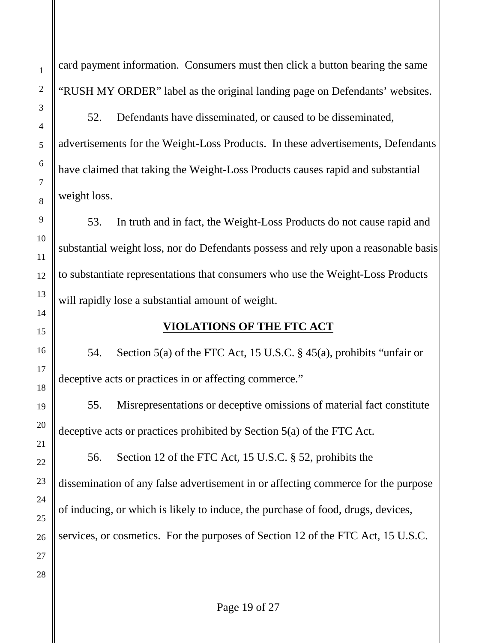card payment information. Consumers must then click a button bearing the same "RUSH MY ORDER" label as the original landing page on Defendants' websites.

52. Defendants have disseminated, or caused to be disseminated, advertisements for the Weight-Loss Products. In these advertisements, Defendants have claimed that taking the Weight-Loss Products causes rapid and substantial weight loss.

53. In truth and in fact, the Weight-Loss Products do not cause rapid and substantial weight loss, nor do Defendants possess and rely upon a reasonable basis to substantiate representations that consumers who use the Weight-Loss Products will rapidly lose a substantial amount of weight.

## **VIOLATIONS OF THE FTC ACT**

54. Section 5(a) of the FTC Act, 15 U.S.C. § 45(a), prohibits "unfair or deceptive acts or practices in or affecting commerce."

55. Misrepresentations or deceptive omissions of material fact constitute deceptive acts or practices prohibited by Section 5(a) of the FTC Act.

56. Section 12 of the FTC Act, 15 U.S.C. § 52, prohibits the dissemination of any false advertisement in or affecting commerce for the purpose of inducing, or which is likely to induce, the purchase of food, drugs, devices, services, or cosmetics. For the purposes of Section 12 of the FTC Act, 15 U.S.C.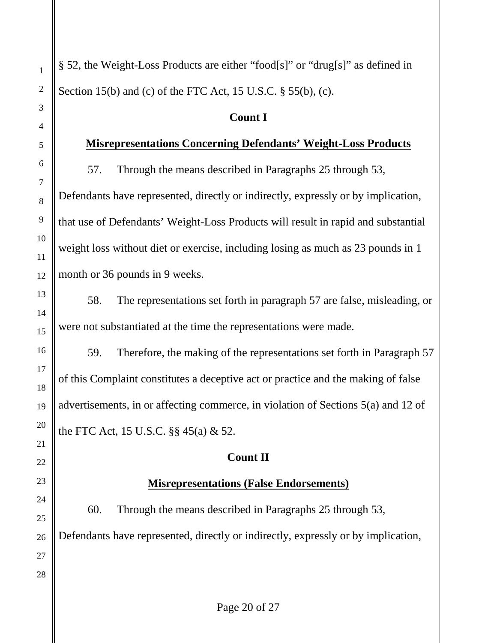§ 52, the Weight-Loss Products are either "food[s]" or "drug[s]" as defined in Section 15(b) and (c) of the FTC Act, 15 U.S.C. § 55(b), (c).

#### **Count I**

#### **Misrepresentations Concerning Defendants' Weight-Loss Products**

57. Through the means described in Paragraphs 25 through 53, Defendants have represented, directly or indirectly, expressly or by implication, that use of Defendants' Weight-Loss Products will result in rapid and substantial weight loss without diet or exercise, including losing as much as 23 pounds in 1 month or 36 pounds in 9 weeks.

58. The representations set forth in paragraph 57 are false, misleading, or were not substantiated at the time the representations were made.

59. Therefore, the making of the representations set forth in Paragraph 57 of this Complaint constitutes a deceptive act or practice and the making of false advertisements, in or affecting commerce, in violation of Sections 5(a) and 12 of the FTC Act, 15 U.S.C. §§ 45(a) & 52.

### **Count II**

## **Misrepresentations (False Endorsements)**

60. Through the means described in Paragraphs 25 through 53, Defendants have represented, directly or indirectly, expressly or by implication,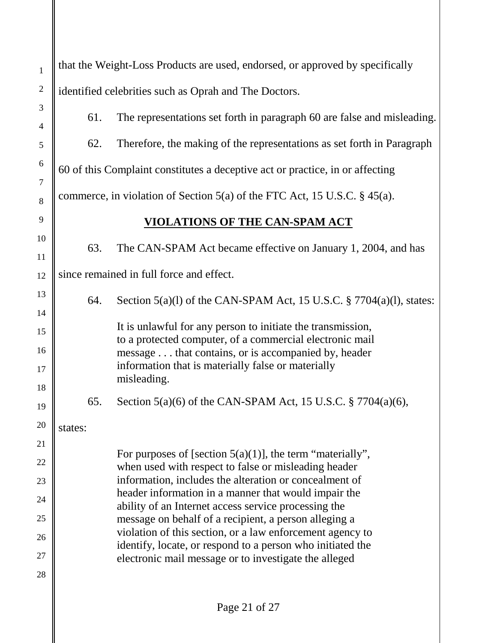| $\mathbf{1}$                 | that the Weight-Loss Products are used, endorsed, or approved by specifically |                                                                                                                         |  |
|------------------------------|-------------------------------------------------------------------------------|-------------------------------------------------------------------------------------------------------------------------|--|
| $\overline{2}$               | identified celebrities such as Oprah and The Doctors.                         |                                                                                                                         |  |
| 3                            | 61.                                                                           | The representations set forth in paragraph 60 are false and misleading.                                                 |  |
| $\overline{4}$               |                                                                               |                                                                                                                         |  |
| 5                            | 62.                                                                           | Therefore, the making of the representations as set forth in Paragraph                                                  |  |
| $\sqrt{6}$<br>$\overline{7}$ | 60 of this Complaint constitutes a deceptive act or practice, in or affecting |                                                                                                                         |  |
| $\,8\,$                      | commerce, in violation of Section 5(a) of the FTC Act, 15 U.S.C. $\S$ 45(a).  |                                                                                                                         |  |
| 9                            | VIOLATIONS OF THE CAN-SPAM ACT                                                |                                                                                                                         |  |
| 10                           | 63.                                                                           | The CAN-SPAM Act became effective on January 1, 2004, and has                                                           |  |
| 11                           |                                                                               |                                                                                                                         |  |
| 12                           | since remained in full force and effect.                                      |                                                                                                                         |  |
| 13                           | 64.                                                                           | Section $5(a)(1)$ of the CAN-SPAM Act, 15 U.S.C. $\S 7704(a)(1)$ , states:                                              |  |
| 14                           |                                                                               | It is unlawful for any person to initiate the transmission,                                                             |  |
| 15                           |                                                                               | to a protected computer, of a commercial electronic mail                                                                |  |
| 16<br>17                     |                                                                               | message that contains, or is accompanied by, header<br>information that is materially false or materially               |  |
| 18                           |                                                                               | misleading.                                                                                                             |  |
| 19                           | 65.                                                                           | Section 5(a)(6) of the CAN-SPAM Act, 15 U.S.C. $\S 7704(a)(6)$ ,                                                        |  |
| 20                           | states:                                                                       |                                                                                                                         |  |
| 21                           |                                                                               | For purposes of [section $5(a)(1)$ ], the term "materially",                                                            |  |
| 22                           |                                                                               | when used with respect to false or misleading header                                                                    |  |
| 23                           |                                                                               | information, includes the alteration or concealment of                                                                  |  |
| 24                           |                                                                               | header information in a manner that would impair the<br>ability of an Internet access service processing the            |  |
| 25                           |                                                                               | message on behalf of a recipient, a person alleging a                                                                   |  |
| 26                           |                                                                               | violation of this section, or a law enforcement agency to<br>identify, locate, or respond to a person who initiated the |  |
| 27                           |                                                                               | electronic mail message or to investigate the alleged                                                                   |  |
| 28                           |                                                                               |                                                                                                                         |  |
|                              |                                                                               |                                                                                                                         |  |

 $\parallel$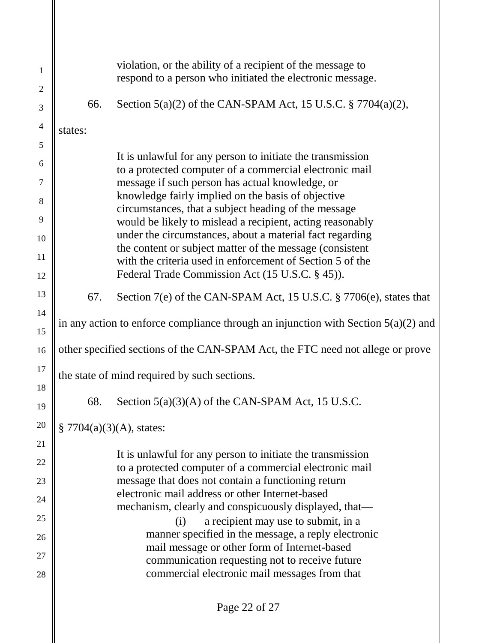| $\mathbf{1}$<br>$\overline{2}$ |                                                                                      | violation, or the ability of a recipient of the message to<br>respond to a person who initiated the electronic message. |
|--------------------------------|--------------------------------------------------------------------------------------|-------------------------------------------------------------------------------------------------------------------------|
| 3                              | 66.                                                                                  | Section $5(a)(2)$ of the CAN-SPAM Act, 15 U.S.C. § 7704 $(a)(2)$ ,                                                      |
| $\overline{4}$                 | states:                                                                              |                                                                                                                         |
| 5<br>6                         |                                                                                      | It is unlawful for any person to initiate the transmission                                                              |
| $\overline{7}$                 |                                                                                      | to a protected computer of a commercial electronic mail<br>message if such person has actual knowledge, or              |
| 8                              |                                                                                      | knowledge fairly implied on the basis of objective<br>circumstances, that a subject heading of the message              |
| 9<br>10                        |                                                                                      | would be likely to mislead a recipient, acting reasonably<br>under the circumstances, about a material fact regarding   |
| 11                             |                                                                                      | the content or subject matter of the message (consistent<br>with the criteria used in enforcement of Section 5 of the   |
| 12                             |                                                                                      | Federal Trade Commission Act (15 U.S.C. § 45)).                                                                         |
| 13                             | 67.                                                                                  | Section 7(e) of the CAN-SPAM Act, 15 U.S.C. § 7706(e), states that                                                      |
| 14<br>15                       | in any action to enforce compliance through an injunction with Section $5(a)(2)$ and |                                                                                                                         |
| 16                             | other specified sections of the CAN-SPAM Act, the FTC need not allege or prove       |                                                                                                                         |
| 17                             | the state of mind required by such sections.                                         |                                                                                                                         |
| 18<br>19                       | 68.                                                                                  | Section 5(a)(3)(A) of the CAN-SPAM Act, 15 U.S.C.                                                                       |
| 20                             | § 7704(a)(3)(A), states:                                                             |                                                                                                                         |
| 21                             |                                                                                      |                                                                                                                         |
| 22                             |                                                                                      | It is unlawful for any person to initiate the transmission<br>to a protected computer of a commercial electronic mail   |
| 23                             |                                                                                      | message that does not contain a functioning return<br>electronic mail address or other Internet-based                   |
| 24                             |                                                                                      | mechanism, clearly and conspicuously displayed, that—                                                                   |
| 25                             |                                                                                      | (i)<br>a recipient may use to submit, in a                                                                              |
| 26                             |                                                                                      | manner specified in the message, a reply electronic<br>mail message or other form of Internet-based                     |
| 27                             |                                                                                      | communication requesting not to receive future                                                                          |
| 28                             |                                                                                      | commercial electronic mail messages from that                                                                           |
|                                |                                                                                      |                                                                                                                         |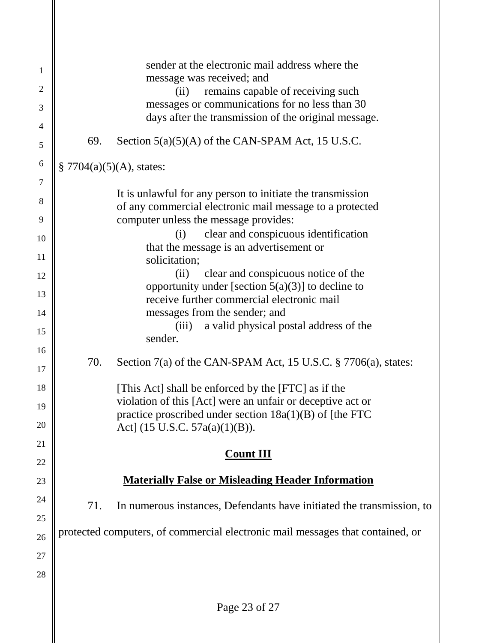| $\mathbf{1}$   |     | sender at the electronic mail address where the<br>message was received; and                                           |
|----------------|-----|------------------------------------------------------------------------------------------------------------------------|
| $\overline{2}$ |     | remains capable of receiving such<br>(ii)                                                                              |
| 3              |     | messages or communications for no less than 30                                                                         |
| 4              |     | days after the transmission of the original message.                                                                   |
| 5              | 69. | Section $5(a)(5)(A)$ of the CAN-SPAM Act, 15 U.S.C.                                                                    |
| 6              |     | § 7704(a)(5)(A), states:                                                                                               |
| 7              |     |                                                                                                                        |
| 8              |     | It is unlawful for any person to initiate the transmission<br>of any commercial electronic mail message to a protected |
| 9              |     | computer unless the message provides:                                                                                  |
|                |     | clear and conspicuous identification<br>(i)                                                                            |
| 10             |     | that the message is an advertisement or                                                                                |
| 11             |     | solicitation;                                                                                                          |
| 12             |     | clear and conspicuous notice of the<br>(ii)                                                                            |
| 13             |     | opportunity under [section $5(a)(3)$ ] to decline to                                                                   |
|                |     | receive further commercial electronic mail                                                                             |
| 14             |     | messages from the sender; and                                                                                          |
| 15             |     | a valid physical postal address of the<br>(iii)<br>sender.                                                             |
| 16<br>17       | 70. | Section $7(a)$ of the CAN-SPAM Act, 15 U.S.C. § 7706 $(a)$ , states:                                                   |
| 18             |     | [This Act] shall be enforced by the [FTC] as if the                                                                    |
|                |     | violation of this [Act] were an unfair or deceptive act or                                                             |
| 19             |     | practice proscribed under section $18a(1)(B)$ of [the FTC                                                              |
| 20             |     | Act] (15 U.S.C. 57a(a)(1)(B)).                                                                                         |
| 21             |     | <b>Count III</b>                                                                                                       |
| 22             |     |                                                                                                                        |
| 23             |     | <b>Materially False or Misleading Header Information</b>                                                               |
| 24             | 71. | In numerous instances, Defendants have initiated the transmission, to                                                  |
| 25             |     |                                                                                                                        |
| 26             |     | protected computers, of commercial electronic mail messages that contained, or                                         |
| 27             |     |                                                                                                                        |
|                |     |                                                                                                                        |
| 28             |     |                                                                                                                        |
|                |     |                                                                                                                        |
|                |     | Page 23 of 27                                                                                                          |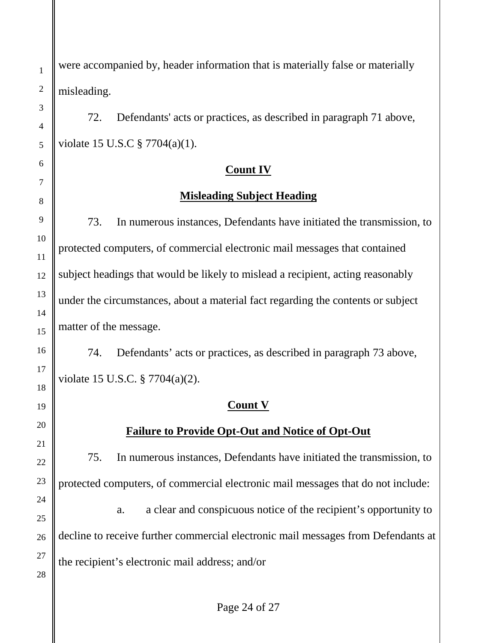were accompanied by, header information that is materially false or materially misleading.

72. Defendants' acts or practices, as described in paragraph 71 above, violate 15 U.S.C § 7704(a)(1).

# **Count IV**

# **Misleading Subject Heading**

73. In numerous instances, Defendants have initiated the transmission, to protected computers, of commercial electronic mail messages that contained subject headings that would be likely to mislead a recipient, acting reasonably under the circumstances, about a material fact regarding the contents or subject matter of the message.

74. Defendants' acts or practices, as described in paragraph 73 above, violate 15 U.S.C. § 7704(a)(2).

# **Count V**

# **Failure to Provide Opt-Out and Notice of Opt-Out**

75. In numerous instances, Defendants have initiated the transmission, to protected computers, of commercial electronic mail messages that do not include:

a. a clear and conspicuous notice of the recipient's opportunity to decline to receive further commercial electronic mail messages from Defendants at the recipient's electronic mail address; and/or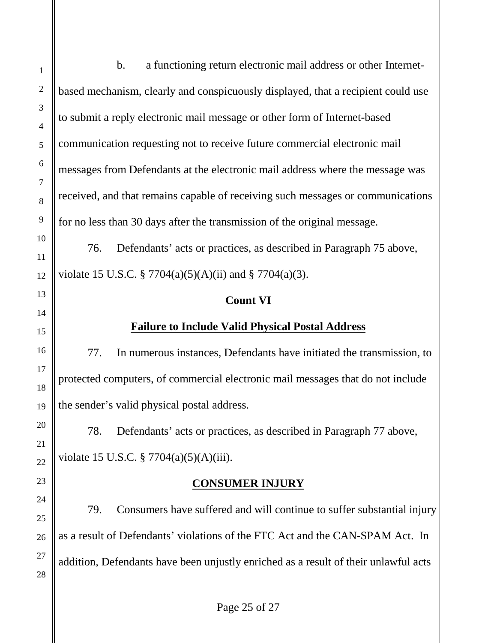b. a functioning return electronic mail address or other Internetbased mechanism, clearly and conspicuously displayed, that a recipient could use to submit a reply electronic mail message or other form of Internet-based communication requesting not to receive future commercial electronic mail messages from Defendants at the electronic mail address where the message was received, and that remains capable of receiving such messages or communications for no less than 30 days after the transmission of the original message. 76. Defendants' acts or practices, as described in Paragraph 75 above, violate 15 U.S.C. § 7704(a)(5)(A)(ii) and § 7704(a)(3). **Count VI Failure to Include Valid Physical Postal Address** 77. In numerous instances, Defendants have initiated the transmission, to protected computers, of commercial electronic mail messages that do not include the sender's valid physical postal address. 78. Defendants' acts or practices, as described in Paragraph 77 above, violate 15 U.S.C. § 7704(a)(5)(A)(iii). **CONSUMER INJURY**

79. Consumers have suffered and will continue to suffer substantial injury as a result of Defendants' violations of the FTC Act and the CAN-SPAM Act. In addition, Defendants have been unjustly enriched as a result of their unlawful acts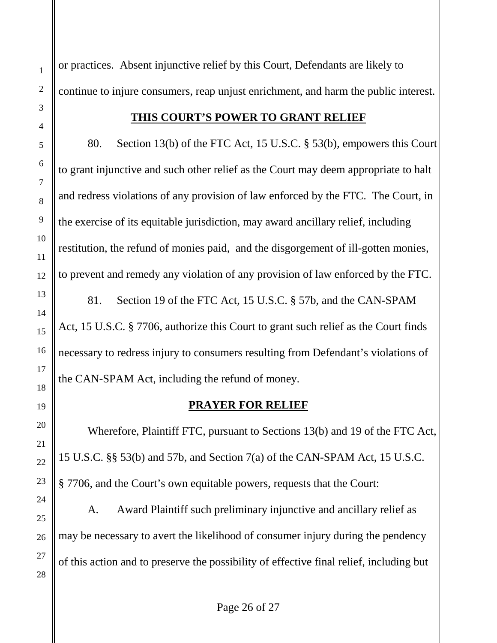or practices. Absent injunctive relief by this Court, Defendants are likely to continue to injure consumers, reap unjust enrichment, and harm the public interest.

### **THIS COURT'S POWER TO GRANT RELIEF**

80. Section 13(b) of the FTC Act, 15 U.S.C. § 53(b), empowers this Court to grant injunctive and such other relief as the Court may deem appropriate to halt and redress violations of any provision of law enforced by the FTC. The Court, in the exercise of its equitable jurisdiction, may award ancillary relief, including restitution, the refund of monies paid, and the disgorgement of ill-gotten monies, to prevent and remedy any violation of any provision of law enforced by the FTC.

81. Section 19 of the FTC Act, 15 U.S.C. § 57b, and the CAN-SPAM Act, 15 U.S.C. § 7706, authorize this Court to grant such relief as the Court finds necessary to redress injury to consumers resulting from Defendant's violations of the CAN-SPAM Act, including the refund of money.

#### **PRAYER FOR RELIEF**

Wherefore, Plaintiff FTC, pursuant to Sections 13(b) and 19 of the FTC Act, 15 U.S.C. §§ 53(b) and 57b, and Section 7(a) of the CAN-SPAM Act, 15 U.S.C. § 7706, and the Court's own equitable powers, requests that the Court:

A. Award Plaintiff such preliminary injunctive and ancillary relief as may be necessary to avert the likelihood of consumer injury during the pendency of this action and to preserve the possibility of effective final relief, including but